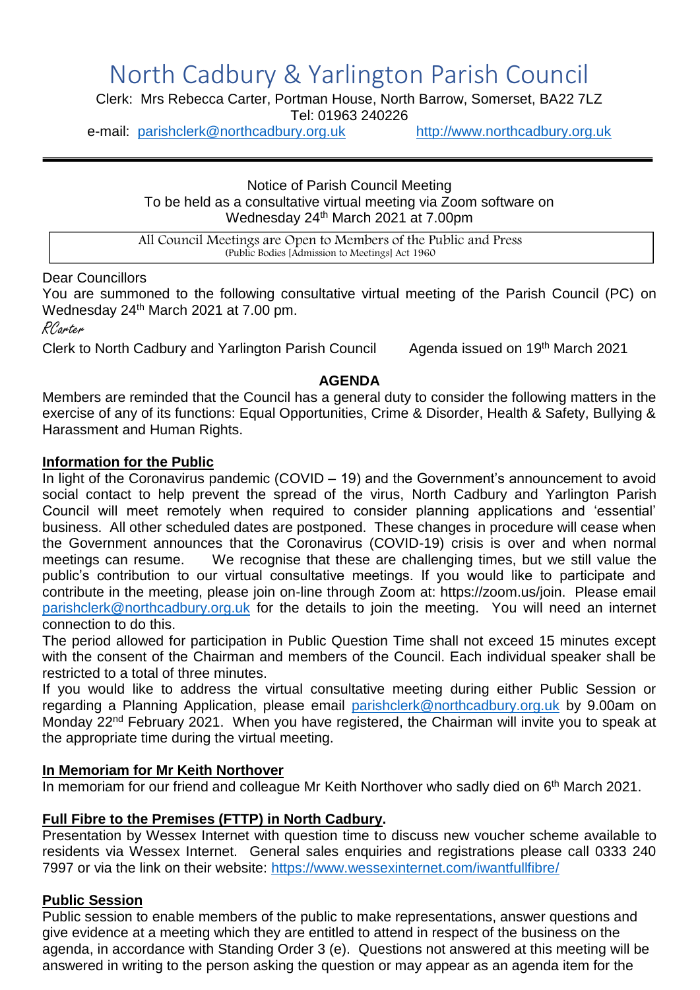# North Cadbury & Yarlington Parish Council

Clerk: Mrs Rebecca Carter, Portman House, North Barrow, Somerset, BA22 7LZ

Tel: 01963 240226

e-mail: [parishclerk@northcadbury.org.uk](mailto:parishclerk@northcadbury.org.uk) [http://www.northcadbury.org.uk](http://www.northcadbury.org.uk/)

Notice of Parish Council Meeting To be held as a consultative virtual meeting via Zoom software on Wednesday 24th March 2021 at 7.00pm

All Council Meetings are Open to Members of the Public and Press (Public Bodies [Admission to Meetings] Act 1960

#### Dear Councillors

You are summoned to the following consultative virtual meeting of the Parish Council (PC) on Wednesday 24<sup>th</sup> March 2021 at 7.00 pm.

RCarter

Clerk to North Cadbury and Yarlington Parish Council Agenda issued on 19th March 2021

#### **AGENDA**

Members are reminded that the Council has a general duty to consider the following matters in the exercise of any of its functions: Equal Opportunities, Crime & Disorder, Health & Safety, Bullying & Harassment and Human Rights.

#### **Information for the Public**

In light of the Coronavirus pandemic (COVID – 19) and the Government's announcement to avoid social contact to help prevent the spread of the virus, North Cadbury and Yarlington Parish Council will meet remotely when required to consider planning applications and 'essential' business. All other scheduled dates are postponed. These changes in procedure will cease when the Government announces that the Coronavirus (COVID-19) crisis is over and when normal meetings can resume. We recognise that these are challenging times, but we still value the public's contribution to our virtual consultative meetings. If you would like to participate and contribute in the meeting, please join on-line through Zoom at: https://zoom.us/join. Please email [parishclerk@northcadbury.org.uk](mailto:parishclerk@northcadbury.org.uk) for the details to join the meeting. You will need an internet connection to do this.

The period allowed for participation in Public Question Time shall not exceed 15 minutes except with the consent of the Chairman and members of the Council. Each individual speaker shall be restricted to a total of three minutes.

If you would like to address the virtual consultative meeting during either Public Session or regarding a Planning Application, please email [parishclerk@northcadbury.org.uk](mailto:parishclerk@northcadbury.org.uk) by 9.00am on Monday 22<sup>nd</sup> February 2021. When you have registered, the Chairman will invite you to speak at the appropriate time during the virtual meeting.

#### **In Memoriam for Mr Keith Northover**

In memoriam for our friend and colleague Mr Keith Northover who sadly died on 6<sup>th</sup> March 2021.

#### **Full Fibre to the Premises (FTTP) in North Cadbury.**

Presentation by Wessex Internet with question time to discuss new voucher scheme available to residents via Wessex Internet. General sales enquiries and registrations please call 0333 240 7997 or via the link on their website:<https://www.wessexinternet.com/iwantfullfibre/>

#### **Public Session**

Public session to enable members of the public to make representations, answer questions and give evidence at a meeting which they are entitled to attend in respect of the business on the agenda, in accordance with Standing Order 3 (e). Questions not answered at this meeting will be answered in writing to the person asking the question or may appear as an agenda item for the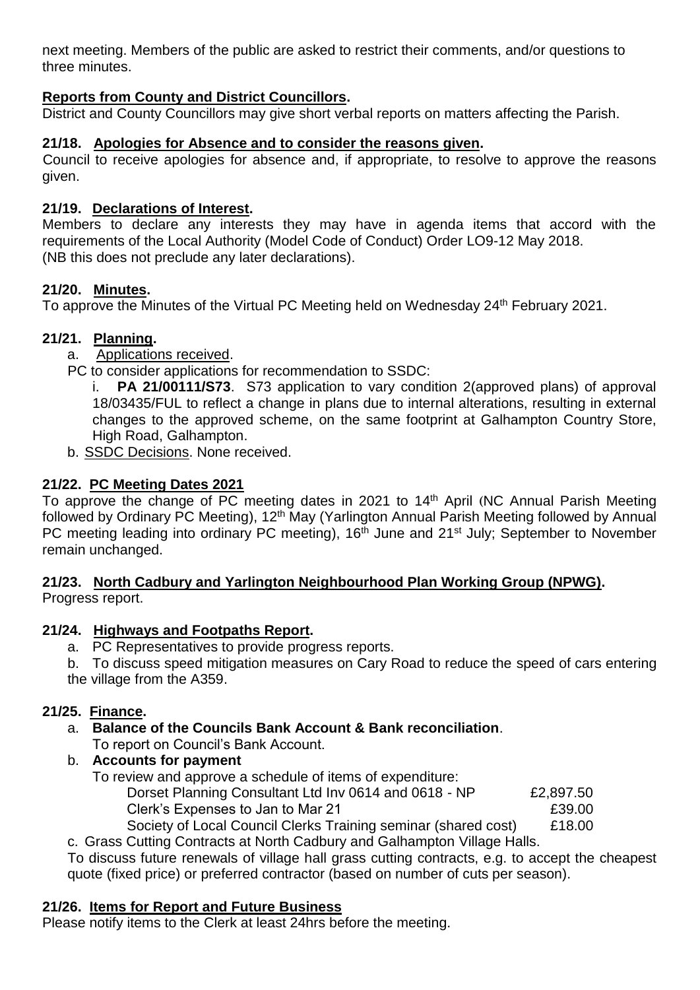next meeting. Members of the public are asked to restrict their comments, and/or questions to three minutes.

# **Reports from County and District Councillors.**

District and County Councillors may give short verbal reports on matters affecting the Parish.

# **21/18. Apologies for Absence and to consider the reasons given.**

Council to receive apologies for absence and, if appropriate, to resolve to approve the reasons given.

## **21/19. Declarations of Interest.**

Members to declare any interests they may have in agenda items that accord with the requirements of the Local Authority (Model Code of Conduct) Order LO9-12 May 2018. (NB this does not preclude any later declarations).

## **21/20. Minutes.**

To approve the Minutes of the Virtual PC Meeting held on Wednesday 24<sup>th</sup> February 2021.

## **21/21. Planning.**

- a. Applications received.
- PC to consider applications for recommendation to SSDC:

i. **PA 21/00111/S73**. S73 application to vary condition 2(approved plans) of approval 18/03435/FUL to reflect a change in plans due to internal alterations, resulting in external changes to the approved scheme, on the same footprint at Galhampton Country Store, High Road, Galhampton.

b. SSDC Decisions. None received.

# **21/22. PC Meeting Dates 2021**

To approve the change of PC meeting dates in 2021 to 14<sup>th</sup> April (NC Annual Parish Meeting followed by Ordinary PC Meeting), 12<sup>th</sup> May (Yarlington Annual Parish Meeting followed by Annual PC meeting leading into ordinary PC meeting), 16<sup>th</sup> June and 21<sup>st</sup> July; September to November remain unchanged.

#### **21/23. North Cadbury and Yarlington Neighbourhood Plan Working Group (NPWG).** Progress report.

# **21/24. Highways and Footpaths Report.**

a. PC Representatives to provide progress reports.

b. To discuss speed mitigation measures on Cary Road to reduce the speed of cars entering the village from the A359.

# **21/25. Finance.**

- a. **Balance of the Councils Bank Account & Bank reconciliation**. To report on Council's Bank Account.
- b. **Accounts for payment**
	- To review and approve a schedule of items of expenditure: Dorset Planning Consultant Ltd Inv 0614 and 0618 - NP £2,897.50 Clerk's Expenses to Jan to Mar 21 **EXPENSION** E39.00 Society of Local Council Clerks Training seminar (shared cost) £18.00

c. Grass Cutting Contracts at North Cadbury and Galhampton Village Halls.

To discuss future renewals of village hall grass cutting contracts, e.g. to accept the cheapest quote (fixed price) or preferred contractor (based on number of cuts per season).

#### **21/26. Items for Report and Future Business**

Please notify items to the Clerk at least 24hrs before the meeting.